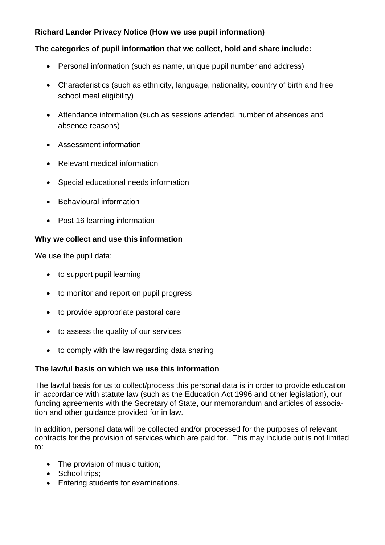# **Richard Lander Privacy Notice (How we use pupil information)**

#### **The categories of pupil information that we collect, hold and share include:**

- Personal information (such as name, unique pupil number and address)
- Characteristics (such as ethnicity, language, nationality, country of birth and free school meal eligibility)
- Attendance information (such as sessions attended, number of absences and absence reasons)
- Assessment information
- Relevant medical information
- Special educational needs information
- Behavioural information
- Post 16 learning information

#### **Why we collect and use this information**

We use the pupil data:

- to support pupil learning
- to monitor and report on pupil progress
- to provide appropriate pastoral care
- to assess the quality of our services
- to comply with the law regarding data sharing

#### **The lawful basis on which we use this information**

The lawful basis for us to collect/process this personal data is in order to provide education in accordance with statute law (such as the Education Act 1996 and other legislation), our funding agreements with the Secretary of State, our memorandum and articles of association and other guidance provided for in law.

In addition, personal data will be collected and/or processed for the purposes of relevant contracts for the provision of services which are paid for. This may include but is not limited to:

- The provision of music tuition;
- School trips:
- Entering students for examinations.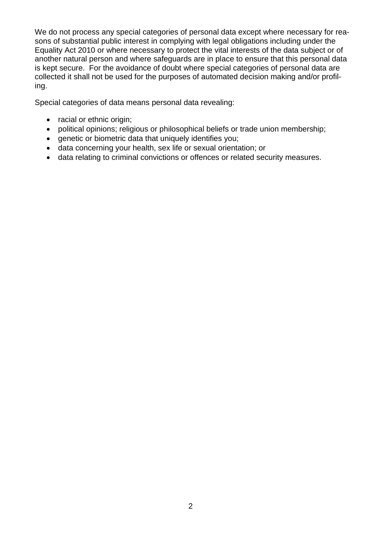We do not process any special categories of personal data except where necessary for reasons of substantial public interest in complying with legal obligations including under the Equality Act 2010 or where necessary to protect the vital interests of the data subject or of another natural person and where safeguards are in place to ensure that this personal data is kept secure. For the avoidance of doubt where special categories of personal data are collected it shall not be used for the purposes of automated decision making and/or profiling.

Special categories of data means personal data revealing:

- racial or ethnic origin;
- political opinions; religious or philosophical beliefs or trade union membership;
- genetic or biometric data that uniquely identifies you;
- data concerning your health, sex life or sexual orientation; or
- data relating to criminal convictions or offences or related security measures.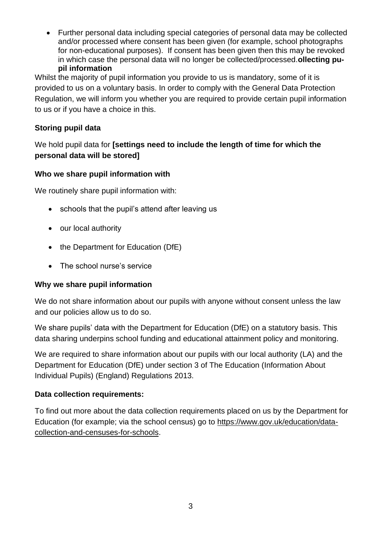• Further personal data including special categories of personal data may be collected and/or processed where consent has been given (for example, school photographs for non-educational purposes). If consent has been given then this may be revoked in which case the personal data will no longer be collected/processed.**ollecting pupil information**

Whilst the majority of pupil information you provide to us is mandatory, some of it is provided to us on a voluntary basis. In order to comply with the General Data Protection Regulation, we will inform you whether you are required to provide certain pupil information to us or if you have a choice in this.

# **Storing pupil data**

# We hold pupil data for **[settings need to include the length of time for which the personal data will be stored]**

# **Who we share pupil information with**

We routinely share pupil information with:

- schools that the pupil's attend after leaving us
- our local authority
- the Department for Education (DfE)
- The school nurse's service

#### **Why we share pupil information**

We do not share information about our pupils with anyone without consent unless the law and our policies allow us to do so.

We share pupils' data with the Department for Education (DfE) on a statutory basis. This data sharing underpins school funding and educational attainment policy and monitoring.

We are required to share information about our pupils with our local authority (LA) and the Department for Education (DfE) under section 3 of The Education (Information About Individual Pupils) (England) Regulations 2013.

#### **Data collection requirements:**

To find out more about the data collection requirements placed on us by the Department for Education (for example; via the school census) go to [https://www.gov.uk/education/data](https://www.gov.uk/education/data-collection-and-censuses-for-schools)[collection-and-censuses-for-schools.](https://www.gov.uk/education/data-collection-and-censuses-for-schools)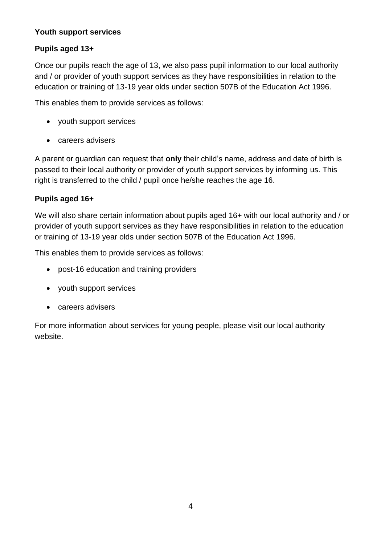## **Youth support services**

# **Pupils aged 13+**

Once our pupils reach the age of 13, we also pass pupil information to our local authority and / or provider of youth support services as they have responsibilities in relation to the education or training of 13-19 year olds under section 507B of the Education Act 1996.

This enables them to provide services as follows:

- youth support services
- careers advisers

A parent or guardian can request that **only** their child's name, address and date of birth is passed to their local authority or provider of youth support services by informing us. This right is transferred to the child / pupil once he/she reaches the age 16.

# **Pupils aged 16+**

We will also share certain information about pupils aged 16+ with our local authority and / or provider of youth support services as they have responsibilities in relation to the education or training of 13-19 year olds under section 507B of the Education Act 1996.

This enables them to provide services as follows:

- post-16 education and training providers
- youth support services
- careers advisers

For more information about services for young people, please visit our local authority website.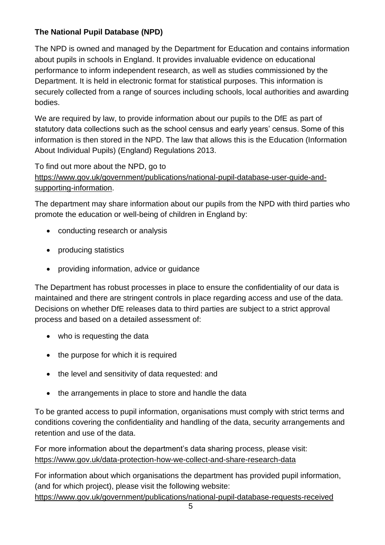# **The National Pupil Database (NPD)**

The NPD is owned and managed by the Department for Education and contains information about pupils in schools in England. It provides invaluable evidence on educational performance to inform independent research, as well as studies commissioned by the Department. It is held in electronic format for statistical purposes. This information is securely collected from a range of sources including schools, local authorities and awarding bodies.

We are required by law, to provide information about our pupils to the DfE as part of statutory data collections such as the school census and early years' census. Some of this information is then stored in the NPD. The law that allows this is the Education (Information About Individual Pupils) (England) Regulations 2013.

To find out more about the NPD, go to

[https://www.gov.uk/government/publications/national-pupil-database-user-guide-and](https://www.gov.uk/government/publications/national-pupil-database-user-guide-and-supporting-information)[supporting-information.](https://www.gov.uk/government/publications/national-pupil-database-user-guide-and-supporting-information)

The department may share information about our pupils from the NPD with third parties who promote the education or well-being of children in England by:

- conducting research or analysis
- producing statistics
- providing information, advice or guidance

The Department has robust processes in place to ensure the confidentiality of our data is maintained and there are stringent controls in place regarding access and use of the data. Decisions on whether DfE releases data to third parties are subject to a strict approval process and based on a detailed assessment of:

- who is requesting the data
- the purpose for which it is required
- the level and sensitivity of data requested: and
- the arrangements in place to store and handle the data

To be granted access to pupil information, organisations must comply with strict terms and conditions covering the confidentiality and handling of the data, security arrangements and retention and use of the data.

For more information about the department's data sharing process, please visit: <https://www.gov.uk/data-protection-how-we-collect-and-share-research-data>

For information about which organisations the department has provided pupil information, (and for which project), please visit the following website:

<https://www.gov.uk/government/publications/national-pupil-database-requests-received>